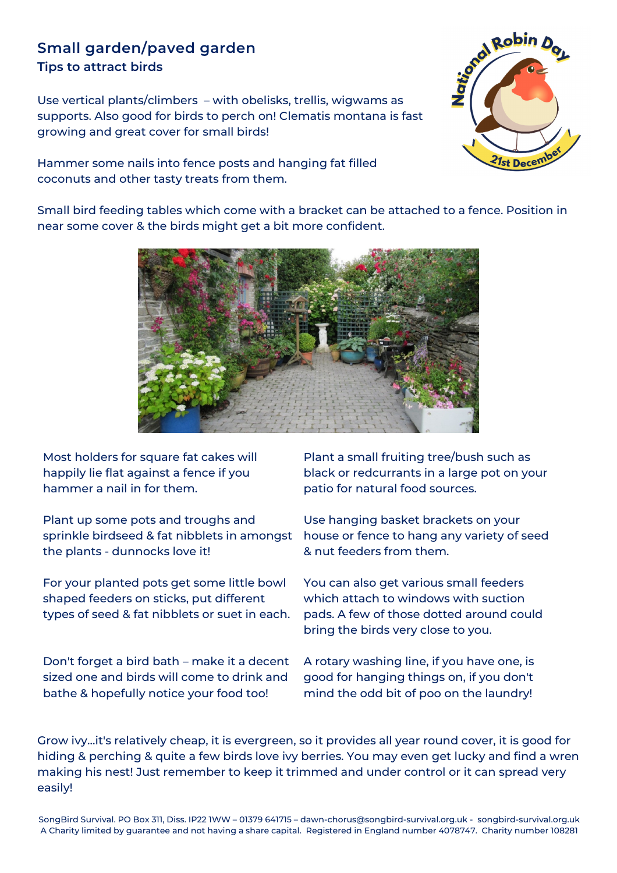## **Small garden/paved garden Tips to attract birds**

Use vertical plants/climbers – with obelisks, trellis, wigwams as supports. Also good for birds to perch on! Clematis montana is fast growing and great cover for small birds!

Hammer some nails into fence posts and hanging fat filled coconuts and other tasty treats from them.



Small bird feeding tables which come with a bracket can be attached to a fence. Position in near some cover & the birds might get a bit more confident.



Most holders for square fat cakes will happily lie flat against a fence if you hammer a nail in for them.

Plant up some pots and troughs and sprinkle birdseed & fat nibblets in amongst the plants - dunnocks love it!

For your planted pots get some little bowl shaped feeders on sticks, put different types of seed & fat nibblets or suet in each.

Don't forget a bird bath – make it a decent sized one and birds will come to drink and bathe & hopefully notice your food too!

Plant a small fruiting tree/bush such as black or redcurrants in a large pot on your patio for natural food sources.

Use hanging basket brackets on your house or fence to hang any variety of seed & nut feeders from them.

You can also get various small feeders which attach to windows with suction pads. A few of those dotted around could bring the birds very close to you.

A rotary washing line, if you have one, is good for hanging things on, if you don't mind the odd bit of poo on the laundry!

Grow ivy...it's relatively cheap, it is evergreen, so it provides all year round cover, it is good for hiding & perching & quite a few birds love ivy berries. You may even get lucky and find a wren making his nest! Just remember to keep it trimmed and under control or it can spread very easily!

SongBird Survival. PO Box 311, Diss. IP22 1WW – 01379 641715 – dawn-chorus@songbird-survival.org.uk - songbird-survival.org.uk A Charity limited by guarantee and not having a share capital. Registered in England number 4078747. Charity number 108281